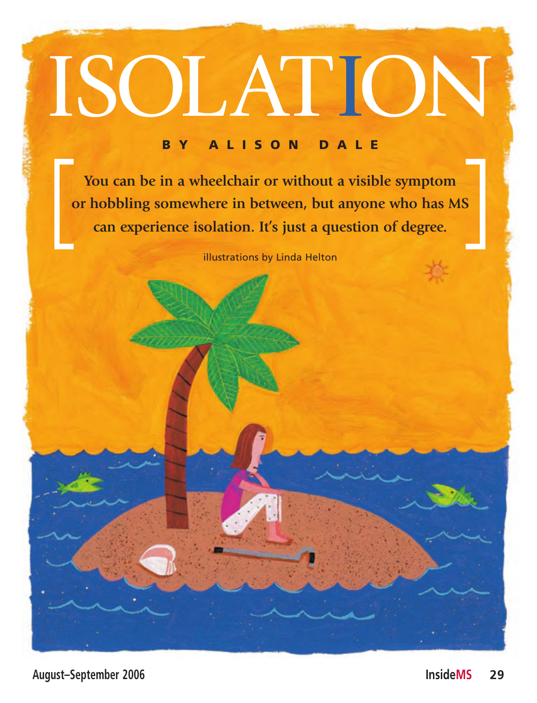# ISOLATION

#### B Y A L I S O N D A L E

**You can be in a wheelchair or without a visible symptom or hobbling somewhere in between, but anyone who has MS can experience isolation. It's just a question of degree.**

illustrations by Linda Helton

**August–September 2006 InsideMS 29**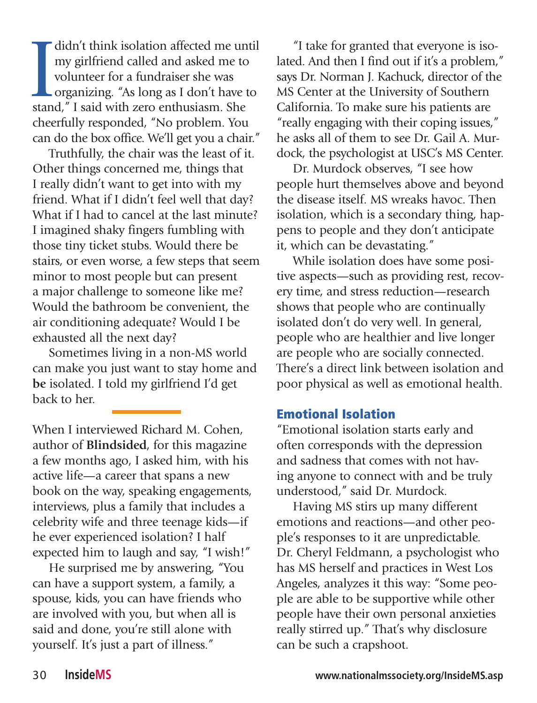I didn't think isolation affected me un my girlfriend called and asked me to volunteer for a fundraiser she was organizing. "As long as I don't have to stand," I said with zero enthusiasm. She didn't think isolation affected me until my girlfriend called and asked me to volunteer for a fundraiser she was organizing. "As long as I don't have to cheerfully responded, "No problem. You can do the box office. We'll get you a chair."

Truthfully, the chair was the least of it. Other things concerned me, things that I really didn't want to get into with my friend. What if I didn't feel well that day? What if I had to cancel at the last minute? I imagined shaky fingers fumbling with those tiny ticket stubs. Would there be stairs, or even worse, a few steps that seem minor to most people but can present a major challenge to someone like me? Would the bathroom be convenient, the air conditioning adequate? Would I be exhausted all the next day?

Sometimes living in a non-MS world can make you just want to stay home and **be** isolated. I told my girlfriend I'd get back to her.

When I interviewed Richard M. Cohen, author of **Blindsided**, for this magazine a few months ago, I asked him, with his active life—a career that spans a new book on the way, speaking engagements, interviews, plus a family that includes a celebrity wife and three teenage kids—if he ever experienced isolation? I half expected him to laugh and say, "I wish!"

He surprised me by answering, "You can have a support system, a family, a spouse, kids, you can have friends who are involved with you, but when all is said and done, you're still alone with yourself. It's just a part of illness."

"I take for granted that everyone is isolated. And then I find out if it's a problem," says Dr. Norman J. Kachuck, director of the MS Center at the University of Southern California. To make sure his patients are "really engaging with their coping issues," he asks all of them to see Dr. Gail A. Murdock, the psychologist at USC's MS Center.

Dr. Murdock observes, "I see how people hurt themselves above and beyond the disease itself. MS wreaks havoc. Then isolation, which is a secondary thing, happens to people and they don't anticipate it, which can be devastating."

While isolation does have some positive aspects—such as providing rest, recovery time, and stress reduction—research shows that people who are continually isolated don't do very well. In general, people who are healthier and live longer are people who are socially connected. There's a direct link between isolation and poor physical as well as emotional health.

### Emotional Isolation

"Emotional isolation starts early and often corresponds with the depression and sadness that comes with not having anyone to connect with and be truly understood," said Dr. Murdock.

Having MS stirs up many different emotions and reactions—and other people's responses to it are unpredictable. Dr. Cheryl Feldmann, a psychologist who has MS herself and practices in West Los Angeles, analyzes it this way: "Some people are able to be supportive while other people have their own personal anxieties really stirred up." That's why disclosure can be such a crapshoot.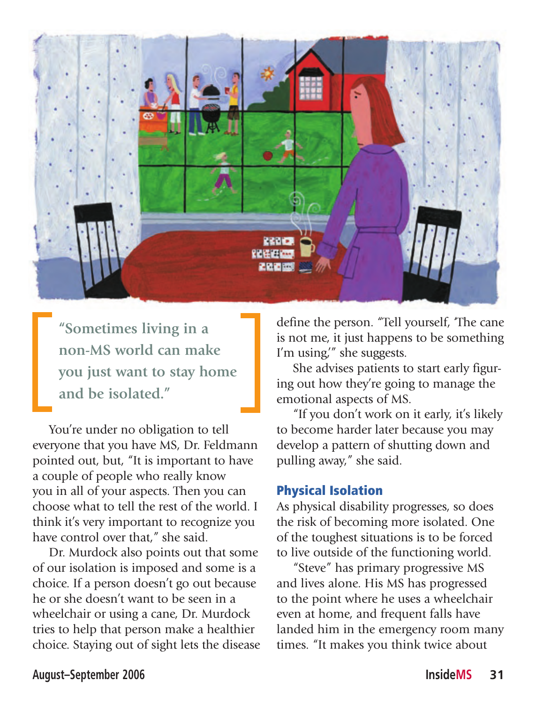

**"Sometimes living in a non-MS world can make you just want to stay home and be isolated."**

You're under no obligation to tell everyone that you have MS, Dr. Feldmann pointed out, but, "It is important to have a couple of people who really know you in all of your aspects. Then you can choose what to tell the rest of the world. I think it's very important to recognize you have control over that," she said.

Dr. Murdock also points out that some of our isolation is imposed and some is a choice. If a person doesn't go out because he or she doesn't want to be seen in a wheelchair or using a cane, Dr. Murdock tries to help that person make a healthier choice. Staying out of sight lets the disease define the person. "Tell yourself, 'The cane is not me, it just happens to be something I'm using," she suggests.

She advises patients to start early figuring out how they're going to manage the emotional aspects of MS.

"If you don't work on it early, it's likely to become harder later because you may develop a pattern of shutting down and pulling away," she said.

# Physical Isolation

As physical disability progresses, so does the risk of becoming more isolated. One of the toughest situations is to be forced to live outside of the functioning world.

"Steve" has primary progressive MS and lives alone. His MS has progressed to the point where he uses a wheelchair even at home, and frequent falls have landed him in the emergency room many times. "It makes you think twice about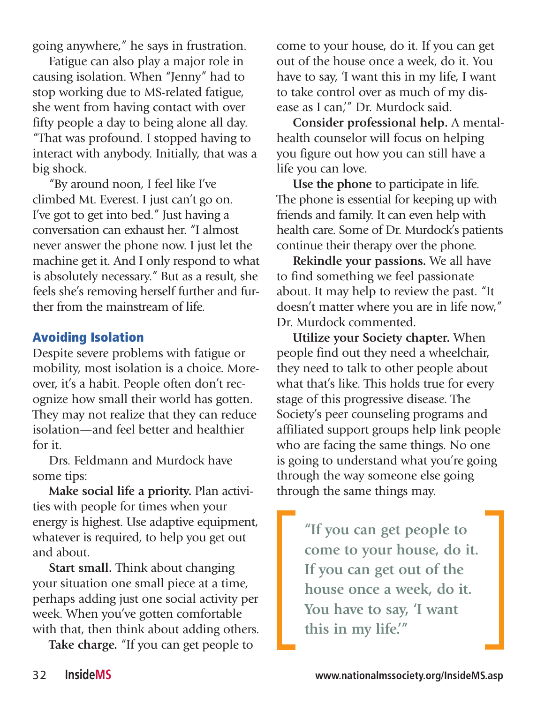going anywhere," he says in frustration.

Fatigue can also play a major role in causing isolation. When "Jenny" had to stop working due to MS-related fatigue, she went from having contact with over fifty people a day to being alone all day. "That was profound. I stopped having to interact with anybody. Initially, that was a big shock.

"By around noon, I feel like I've climbed Mt. Everest. I just can't go on. I've got to get into bed." Just having a conversation can exhaust her. "I almost never answer the phone now. I just let the machine get it. And I only respond to what is absolutely necessary." But as a result, she feels she's removing herself further and further from the mainstream of life.

# Avoiding Isolation

Despite severe problems with fatigue or mobility, most isolation is a choice. Moreover, it's a habit. People often don't recognize how small their world has gotten. They may not realize that they can reduce isolation—and feel better and healthier for it.

Drs. Feldmann and Murdock have some tips:

**Make social life a priority.** Plan activities with people for times when your energy is highest. Use adaptive equipment, whatever is required, to help you get out and about.

**Start small.** Think about changing your situation one small piece at a time, perhaps adding just one social activity per week. When you've gotten comfortable with that, then think about adding others.

**Take charge.** "If you can get people to

come to your house, do it. If you can get out of the house once a week, do it. You have to say, 'I want this in my life, I want to take control over as much of my disease as I can,'" Dr. Murdock said.

**Consider professional help.** A mentalhealth counselor will focus on helping you figure out how you can still have a life you can love.

**Use the phone** to participate in life. The phone is essential for keeping up with friends and family. It can even help with health care. Some of Dr. Murdock's patients continue their therapy over the phone.

**Rekindle your passions.** We all have to find something we feel passionate about. It may help to review the past. "It doesn't matter where you are in life now," Dr. Murdock commented.

**Utilize your Society chapter.** When people find out they need a wheelchair, they need to talk to other people about what that's like. This holds true for every stage of this progressive disease. The Society's peer counseling programs and affiliated support groups help link people who are facing the same things. No one is going to understand what you're going through the way someone else going through the same things may.

> **"If you can get people to come to your house, do it. If you can get out of the house once a week, do it. You have to say, 'I want this in my life.'"**